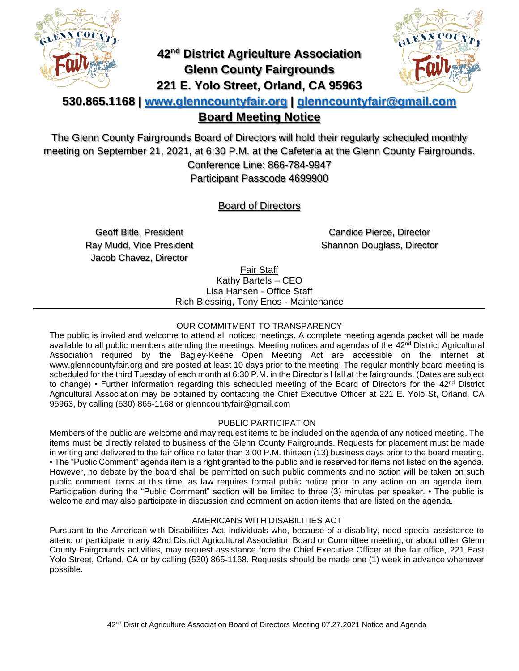

# **42nd District Agriculture Association Glenn County Fairgrounds 221 E. Yolo Street, Orland, CA 95963**



## **530.865.1168 | [www.glenncountyfair.org](http://www.glenncountyfair.org/) | [glenncountyfair@gmail.com](mailto:glenncountyfair@gmail.com) Board Meeting Notice**

The Glenn County Fairgrounds Board of Directors will hold their regularly scheduled monthly meeting on September 21, 2021, at 6:30 P.M. at the Cafeteria at the Glenn County Fairgrounds. Conference Line: 866-784-9947 Participant Passcode 4699900

### Board of Directors

Geoff Bitle, President Ray Mudd, Vice President Jacob Chavez, Director

Candice Pierce, Director Shannon Douglass, Director

Fair Staff

Kathy Bartels – CEO Lisa Hansen - Office Staff Rich Blessing, Tony Enos - Maintenance

#### OUR COMMITMENT TO TRANSPARENCY

The public is invited and welcome to attend all noticed meetings. A complete meeting agenda packet will be made available to all public members attending the meetings. Meeting notices and agendas of the 42<sup>nd</sup> District Agricultural Association required by the Bagley-Keene Open Meeting Act are accessible on the internet at www.glenncountyfair.org and are posted at least 10 days prior to the meeting. The regular monthly board meeting is scheduled for the third Tuesday of each month at 6:30 P.M. in the Director's Hall at the fairgrounds. (Dates are subject to change) • Further information regarding this scheduled meeting of the Board of Directors for the 42<sup>nd</sup> District Agricultural Association may be obtained by contacting the Chief Executive Officer at 221 E. Yolo St, Orland, CA 95963, by calling (530) 865-1168 or glenncountyfair@gmail.com

#### PUBLIC PARTICIPATION

Members of the public are welcome and may request items to be included on the agenda of any noticed meeting. The items must be directly related to business of the Glenn County Fairgrounds. Requests for placement must be made in writing and delivered to the fair office no later than 3:00 P.M. thirteen (13) business days prior to the board meeting. • The "Public Comment" agenda item is a right granted to the public and is reserved for items not listed on the agenda. However, no debate by the board shall be permitted on such public comments and no action will be taken on such public comment items at this time, as law requires formal public notice prior to any action on an agenda item. Participation during the "Public Comment" section will be limited to three (3) minutes per speaker. • The public is welcome and may also participate in discussion and comment on action items that are listed on the agenda.

#### AMERICANS WITH DISABILITIES ACT

Pursuant to the American with Disabilities Act, individuals who, because of a disability, need special assistance to attend or participate in any 42nd District Agricultural Association Board or Committee meeting, or about other Glenn County Fairgrounds activities, may request assistance from the Chief Executive Officer at the fair office, 221 East Yolo Street, Orland, CA or by calling (530) 865-1168. Requests should be made one (1) week in advance whenever possible.